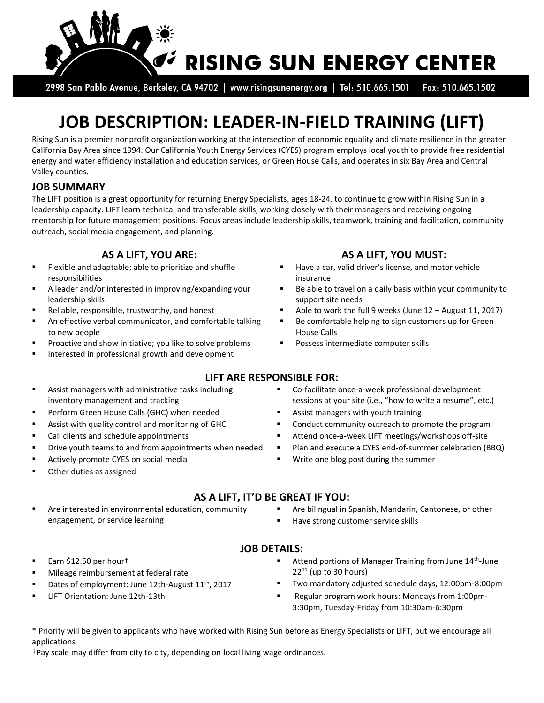

2998 San Pablo Avenue, Berkeley, CA 94702 | www.risingsunenergy.org | Tel: 510.665.1501 | Fax: 510.665.1502

# **JOB DESCRIPTION: LEADER-IN-FIELD TRAINING (LIFT)**

Rising Sun is a premier nonprofit organization working at the intersection of economic equality and climate resilience in the greater California Bay Area since 1994. Our California Youth Energy Services (CYES) program employs local youth to provide free residential energy and water efficiency installation and education services, or Green House Calls, and operates in six Bay Area and Central Valley counties.

#### **JOB SUMMARY**

The LIFT position is a great opportunity for returning Energy Specialists, ages 18-24, to continue to grow within Rising Sun in a leadership capacity. LIFT learn technical and transferable skills, working closely with their managers and receiving ongoing mentorship for future management positions. Focus areas include leadership skills, teamwork, training and facilitation, community outreach, social media engagement, and planning.

- **Flexible and adaptable; able to prioritize and shuffle** responsibilities
- A leader and/or interested in improving/expanding your leadership skills
- 
- An effective verbal communicator, and comfortable talking to new people
- Proactive and show initiative; you like to solve problems
- Interested in professional growth and development
- Assist managers with administrative tasks including inventory management and tracking
- Perform Green House Calls (GHC) when needed **Assist managers with youth training** Perform Green House Calls (GHC) when needed
- 
- 
- Plan and execute a CYES end-of-summer celebration (BBQ) Plan and execute a CYES end-of-summer celebration (BBQ)
- 
- Other duties as assigned

# **AS A LIFT, YOU ARE: AS A LIFT, YOU MUST:**

- Have a car, valid driver's license, and motor vehicle insurance
- Be able to travel on a daily basis within your community to support site needs
- Reliable, responsible, trustworthy, and honest **Able to work the full 9 weeks (June 12 August 11, 2017)** Reliable, responsible, trustworthy, and honest
	- Be comfortable helping to sign customers up for Green House Calls
	- Possess intermediate computer skills

#### Co-facilitate once-a-week professional development sessions at your site (i.e., "how to write a resume", etc.)

- 
- Assist with quality control and monitoring of GHC **South Conduct community outreach to promote the program**
- Call clients and schedule appointments **Attend once-a-week LIFT meetings/workshops off-site** 
	-
- Actively promote CYES on social media **WE Actively promote CYES** on social media **WEYES WEYES WEYES** ON METAL METAL METAL METAL METAL METAL METAL METAL METAL METAL METAL METAL METAL METAL METAL METAL METAL METAL METAL
	- **AS A LIFT, IT'D BE GREAT IF YOU:**

**LIFT ARE RESPONSIBLE FOR:**

- Are interested in environmental education, community engagement, or service learning
- **Are bilingual in Spanish, Mandarin, Cantonese, or other** 
	- Have strong customer service skills

### **JOB DETAILS:**

- Earn \$12.50 per hour†
- Mileage reimbursement at federal rate
- Dates of employment: June 12th-August  $11<sup>th</sup>$ , 2017
- 
- Attend portions of Manager Training from June 14<sup>th</sup>-June  $22<sup>nd</sup>$  (up to 30 hours)
- Two mandatory adjusted schedule days, 12:00pm-8:00pm
- LIFT Orientation: June 12th-13th Regular program work hours: Mondays from 1:00pm-3:30pm, Tuesday-Friday from 10:30am-6:30pm

\* Priority will be given to applicants who have worked with Rising Sun before as Energy Specialists or LIFT, but we encourage all applications

†Pay scale may differ from city to city, depending on local living wage ordinances.